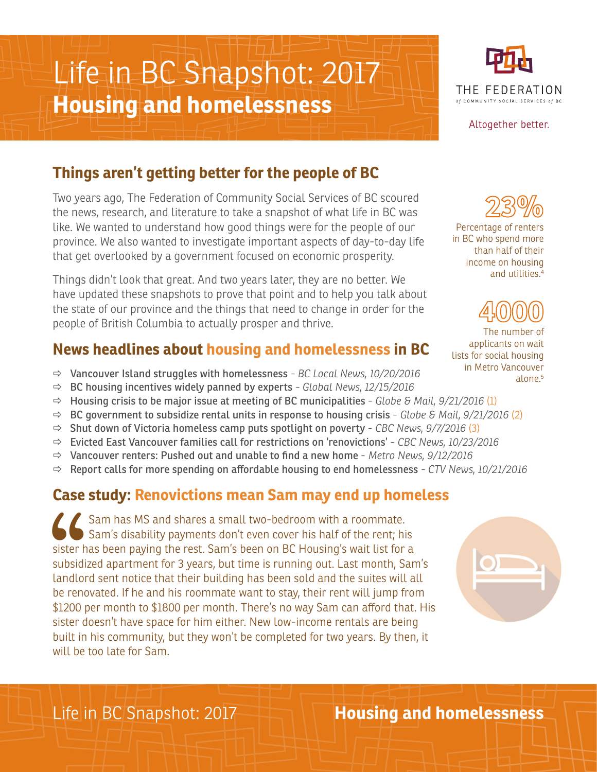# Life in BC Snapshot: 2017 **Housing and homelessness**



Altogether better.

# **Things aren't getting better for the people of BC**

Two years ago, The Federation of Community Social Services of BC scoured the news, research, and literature to take a snapshot of what life in BC was like. We wanted to understand how good things were for the people of our province. We also wanted to investigate important aspects of day-to-day life that get overlooked by a government focused on economic prosperity.

Things didn't look that great. And two years later, they are no better. We have updated these snapshots to prove that point and to help you talk about the state of our province and the things that need to change in order for the people of British Columbia to actually prosper and thrive.

#### **News headlines about housing and homelessness in BC**

- ð Vancouver Island struggles with homelessness *BC Local News, 10/20/2016*
- ð BC housing incentives widely panned by experts *Global News, 12/15/2016*
- $\Rightarrow$  Housing crisis to be major issue at meeting of BC municipalities *Globe & Mail, 9/21/2016* (1)
- ð BC government to subsidize rental units in response to housing crisis - *Globe & Mail, 9/21/2016* (2)
- ð Shut down of Victoria homeless camp puts spotlight on poverty - *CBC News, 9/7/2016* (3)
- ð Evicted East Vancouver families call for restrictions on 'renovictions' - *CBC News, 10/23/2016*
- ð Vancouver renters: Pushed out and unable to find a new home - *Metro News, 9/12/2016*
- $\Rightarrow$  Report calls for more spending on affordable housing to end homelessness CTV News, 10/21/2016

#### **Case study: Renovictions mean Sam may end up homeless**

Sister h<br>subsidi:<br>landlor<br>be reno Sam has MS and shares a small two-bedroom with a roommate. Sam's disability payments don't even cover his half of the rent; his sister has been paying the rest. Sam's been on BC Housing's wait list for a subsidized apartment for 3 years, but time is running out. Last month, Sam's landlord sent notice that their building has been sold and the suites will all be renovated. If he and his roommate want to stay, their rent will jump from \$1200 per month to \$1800 per month. There's no way Sam can afford that. His sister doesn't have space for him either. New low-income rentals are being built in his community, but they won't be completed for two years. By then, it will be too late for Sam.

Percentage of renters

in BC who spend more than half of their income on housing and utilities.4



The number of applicants on wait lists for social housing in Metro Vancouver alone.5



Life in BC Snapshot: 2017 **Housing and homelessness**